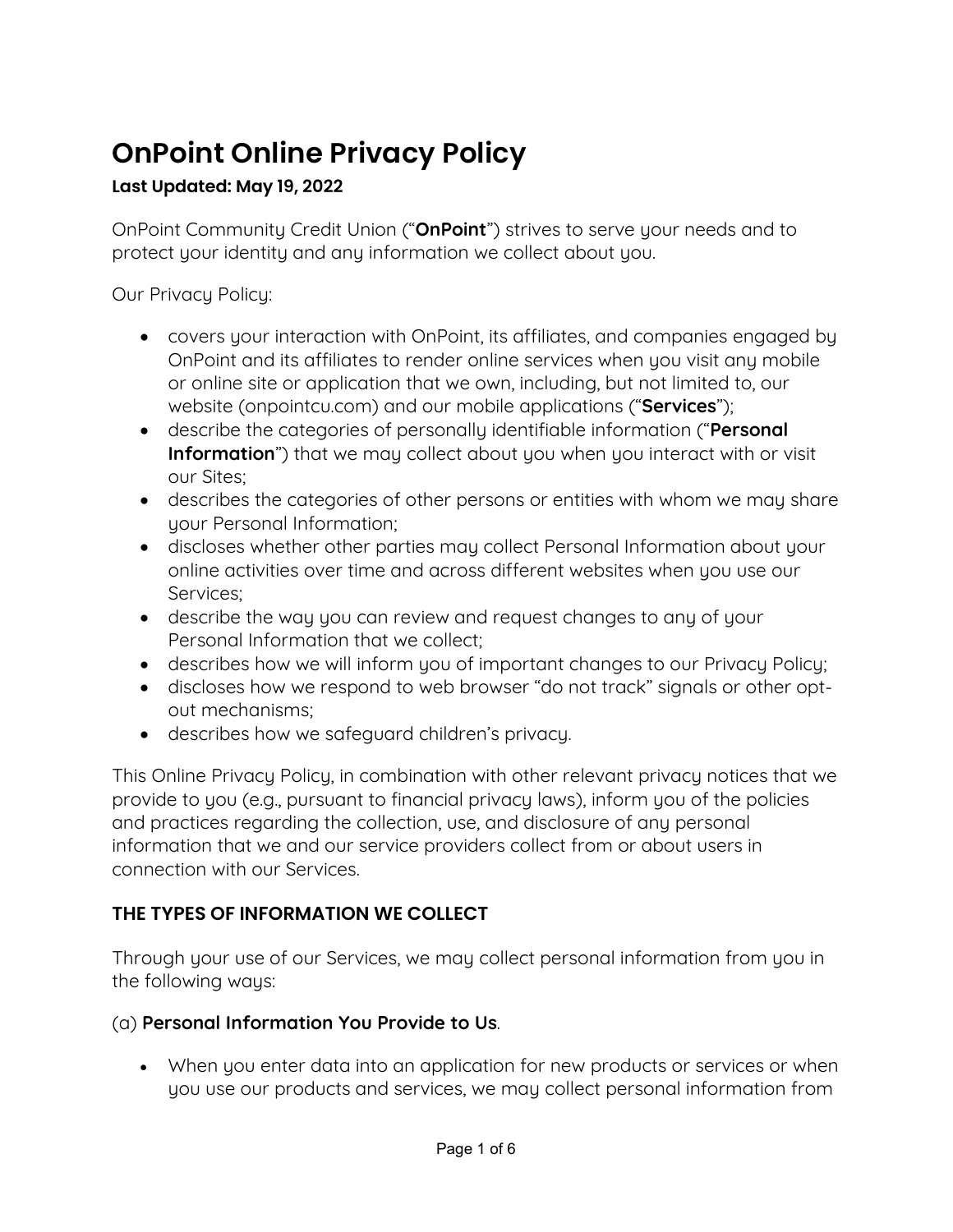# **OnPoint Online Privacy Policy**

## **Last Updated: May 19, 2022**

OnPoint Community Credit Union ("**OnPoint**") strives to serve your needs and to protect your identity and any information we collect about you.

Our Privacy Policy:

- covers your interaction with OnPoint, its affiliates, and companies engaged by OnPoint and its affiliates to render online services when you visit any mobile or online site or application that we own, including, but not limited to, our website (onpointcu.com) and our mobile applications ("**Services**");
- describe the categories of personally identifiable information ("**Personal Information**") that we may collect about you when you interact with or visit our Sites;
- describes the categories of other persons or entities with whom we may share your Personal Information;
- discloses whether other parties may collect Personal Information about your online activities over time and across different websites when you use our Services;
- describe the way you can review and request changes to any of your Personal Information that we collect;
- describes how we will inform you of important changes to our Privacy Policy;
- discloses how we respond to web browser "do not track" signals or other optout mechanisms;
- describes how we safeguard children's privacy.

This Online Privacy Policy, in combination with other relevant privacy notices that we provide to you (e.g., pursuant to financial privacy laws), inform you of the policies and practices regarding the collection, use, and disclosure of any personal information that we and our service providers collect from or about users in connection with our Services.

## **THE TYPES OF INFORMATION WE COLLECT**

Through your use of our Services, we may collect personal information from you in the following ways:

## (a) **Personal Information You Provide to Us**.

• When you enter data into an application for new products or services or when you use our products and services, we may collect personal information from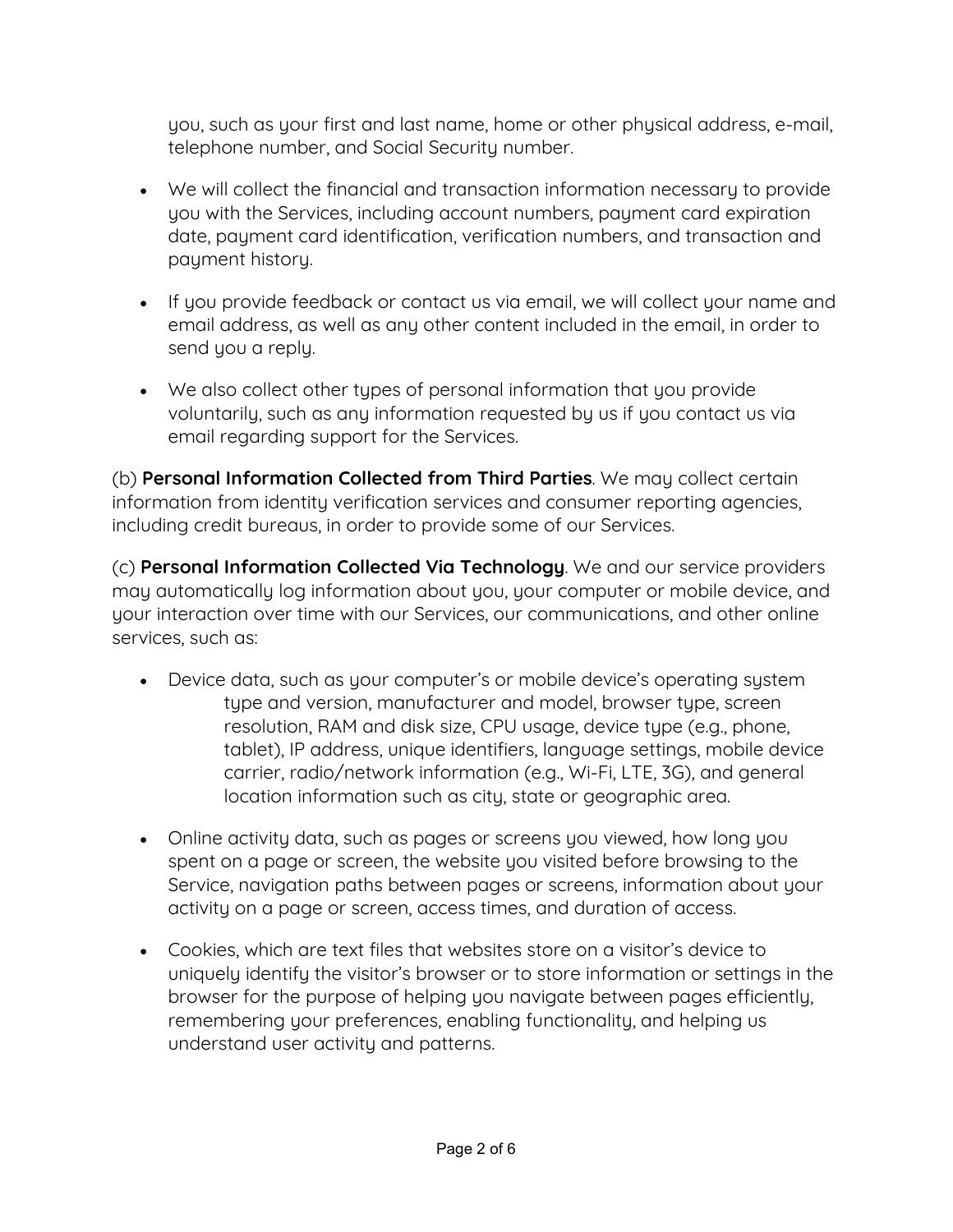you, such as your first and last name, home or other physical address, e-mail, telephone number, and Social Security number.

- We will collect the financial and transaction information necessary to provide you with the Services, including account numbers, payment card expiration date, payment card identification, verification numbers, and transaction and payment history.
- If you provide feedback or contact us via email, we will collect your name and email address, as well as any other content included in the email, in order to send you a reply.
- We also collect other types of personal information that you provide voluntarily, such as any information requested by us if you contact us via email regarding support for the Services.

(b) **Personal Information Collected from Third Parties**. We may collect certain information from identity verification services and consumer reporting agencies, including credit bureaus, in order to provide some of our Services.

(c) **Personal Information Collected Via Technology**. We and our service providers may automatically log information about you, your computer or mobile device, and your interaction over time with our Services, our communications, and other online services, such as:

- Device data, such as your computer's or mobile device's operating system type and version, manufacturer and model, browser type, screen resolution, RAM and disk size, CPU usage, device type (e.g., phone, tablet), IP address, unique identifiers, language settings, mobile device carrier, radio/network information (e.g., Wi-Fi, LTE, 3G), and general location information such as city, state or geographic area.
- Online activity data, such as pages or screens you viewed, how long you spent on a page or screen, the website you visited before browsing to the Service, navigation paths between pages or screens, information about your activity on a page or screen, access times, and duration of access.
- Cookies, which are text files that websites store on a visitor's device to uniquely identify the visitor's browser or to store information or settings in the browser for the purpose of helping you navigate between pages efficiently, remembering your preferences, enabling functionality, and helping us understand user activity and patterns.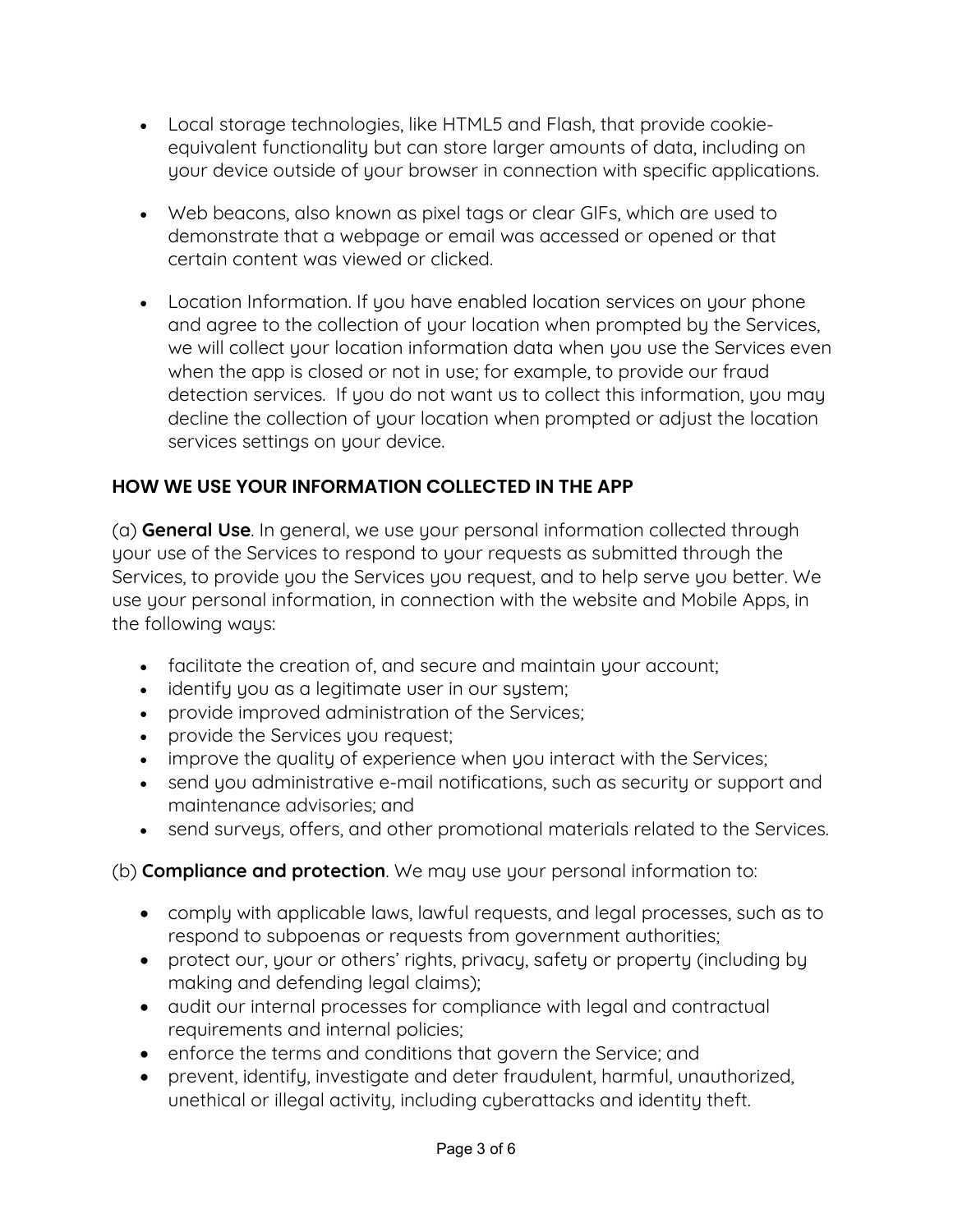- Local storage technologies, like HTML5 and Flash, that provide cookieequivalent functionality but can store larger amounts of data, including on your device outside of your browser in connection with specific applications.
- Web beacons, also known as pixel tags or clear GIFs, which are used to demonstrate that a webpage or email was accessed or opened or that certain content was viewed or clicked.
- Location Information. If you have enabled location services on your phone and agree to the collection of your location when prompted by the Services, we will collect your location information data when you use the Services even when the app is closed or not in use; for example, to provide our fraud detection services. If you do not want us to collect this information, you may decline the collection of your location when prompted or adjust the location services settings on your device.

## **HOW WE USE YOUR INFORMATION COLLECTED IN THE APP**

(a) **General Use**. In general, we use your personal information collected through your use of the Services to respond to your requests as submitted through the Services, to provide you the Services you request, and to help serve you better. We use your personal information, in connection with the website and Mobile Apps, in the following ways:

- facilitate the creation of, and secure and maintain your account;
- identify you as a legitimate user in our system;
- provide improved administration of the Services;
- provide the Services you request;
- improve the quality of experience when you interact with the Services;
- send you administrative e-mail notifications, such as security or support and maintenance advisories; and
- send surveys, offers, and other promotional materials related to the Services.

(b) **Compliance and protection**. We may use your personal information to:

- comply with applicable laws, lawful requests, and legal processes, such as to respond to subpoenas or requests from government authorities;
- protect our, your or others' rights, privacy, safety or property (including by making and defending legal claims);
- audit our internal processes for compliance with legal and contractual requirements and internal policies;
- enforce the terms and conditions that govern the Service; and
- prevent, identify, investigate and deter fraudulent, harmful, unauthorized, unethical or illegal activity, including cyberattacks and identity theft.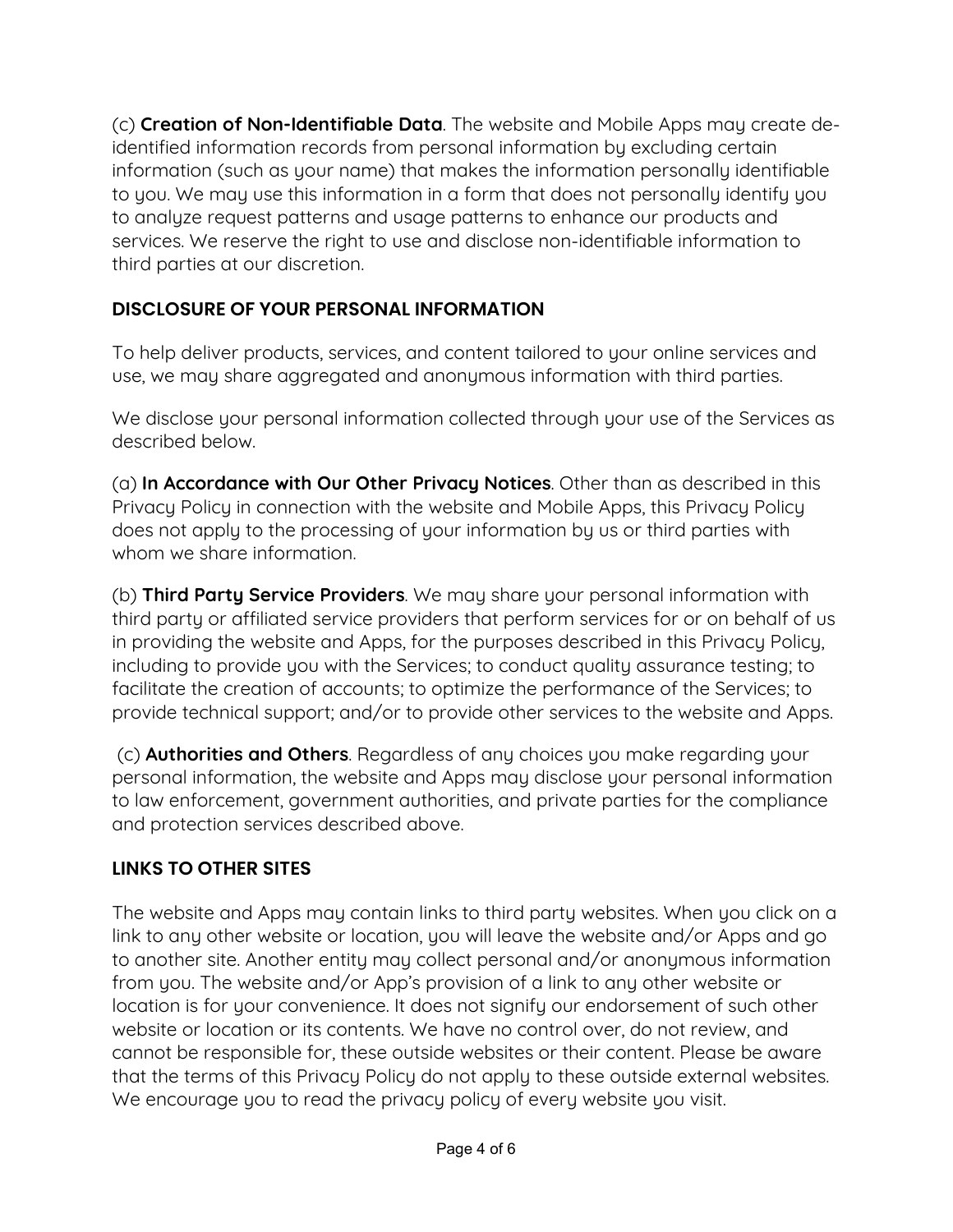(c) **Creation of Non-Identifiable Data**. The website and Mobile Apps may create deidentified information records from personal information by excluding certain information (such as your name) that makes the information personally identifiable to you. We may use this information in a form that does not personally identify you to analyze request patterns and usage patterns to enhance our products and services. We reserve the right to use and disclose non-identifiable information to third parties at our discretion.

## **DISCLOSURE OF YOUR PERSONAL INFORMATION**

To help deliver products, services, and content tailored to your online services and use, we may share aggregated and anonymous information with third parties.

We disclose your personal information collected through your use of the Services as described below.

(a) **In Accordance with Our Other Privacy Notices**. Other than as described in this Privacy Policy in connection with the website and Mobile Apps, this Privacy Policy does not apply to the processing of your information by us or third parties with whom we share information.

(b) **Third Party Service Providers**. We may share your personal information with third party or affiliated service providers that perform services for or on behalf of us in providing the website and Apps, for the purposes described in this Privacy Policy, including to provide you with the Services; to conduct quality assurance testing; to facilitate the creation of accounts; to optimize the performance of the Services; to provide technical support; and/or to provide other services to the website and Apps.

(c) **Authorities and Others**. Regardless of any choices you make regarding your personal information, the website and Apps may disclose your personal information to law enforcement, government authorities, and private parties for the compliance and protection services described above.

## **LINKS TO OTHER SITES**

The website and Apps may contain links to third party websites. When you click on a link to any other website or location, you will leave the website and/or Apps and go to another site. Another entity may collect personal and/or anonymous information from you. The website and/or App's provision of a link to any other website or location is for your convenience. It does not signify our endorsement of such other website or location or its contents. We have no control over, do not review, and cannot be responsible for, these outside websites or their content. Please be aware that the terms of this Privacy Policy do not apply to these outside external websites. We encourage you to read the privacy policy of every website you visit.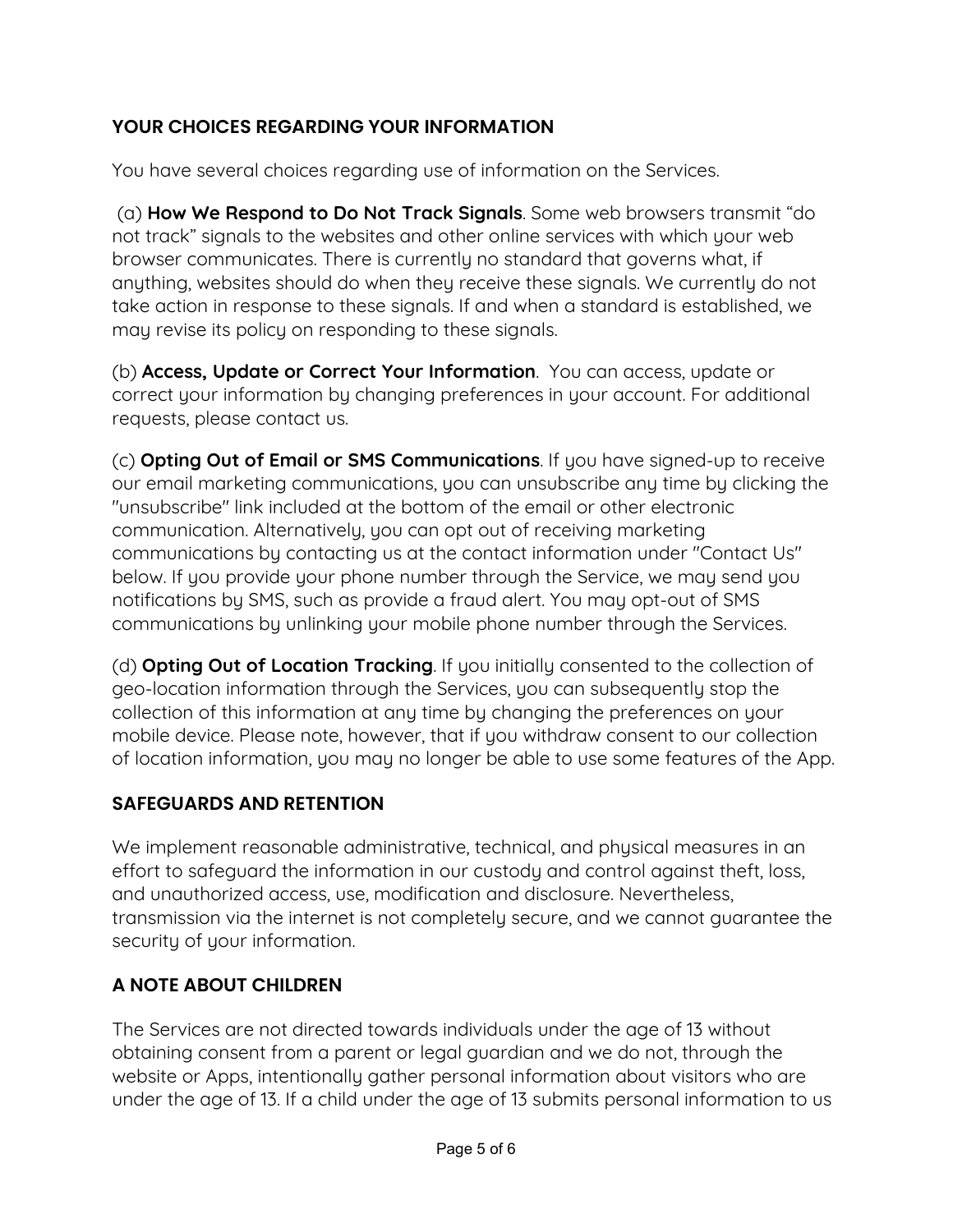## **YOUR CHOICES REGARDING YOUR INFORMATION**

You have several choices regarding use of information on the Services.

(a) **How We Respond to Do Not Track Signals**. Some web browsers transmit "do not track" signals to the websites and other online services with which your web browser communicates. There is currently no standard that governs what, if anything, websites should do when they receive these signals. We currently do not take action in response to these signals. If and when a standard is established, we may revise its policy on responding to these signals.

(b) **Access, Update or Correct Your Information**. You can access, update or correct your information by changing preferences in your account. For additional requests, please contact us.

(c) **Opting Out of Email or SMS Communications**. If you have signed-up to receive our email marketing communications, you can unsubscribe any time by clicking the "unsubscribe" link included at the bottom of the email or other electronic communication. Alternatively, you can opt out of receiving marketing communications by contacting us at the contact information under "Contact Us" below. If you provide your phone number through the Service, we may send you notifications by SMS, such as provide a fraud alert. You may opt-out of SMS communications by unlinking your mobile phone number through the Services.

(d) **Opting Out of Location Tracking**. If you initially consented to the collection of geo-location information through the Services, you can subsequently stop the collection of this information at any time by changing the preferences on your mobile device. Please note, however, that if you withdraw consent to our collection of location information, you may no longer be able to use some features of the App.

## **SAFEGUARDS AND RETENTION**

We implement reasonable administrative, technical, and physical measures in an effort to safeguard the information in our custody and control against theft, loss, and unauthorized access, use, modification and disclosure. Nevertheless, transmission via the internet is not completely secure, and we cannot guarantee the security of your information.

## **A NOTE ABOUT CHILDREN**

The Services are not directed towards individuals under the age of 13 without obtaining consent from a parent or legal guardian and we do not, through the website or Apps, intentionally gather personal information about visitors who are under the age of 13. If a child under the age of 13 submits personal information to us